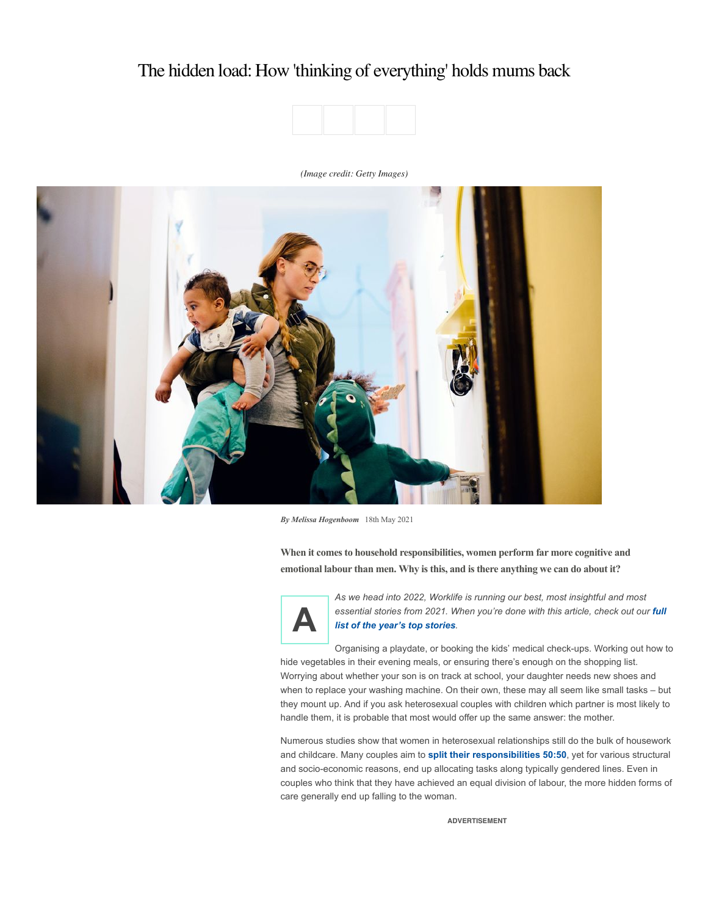# The hidden load: How 'thinking of everything' holds mums back



# *(Image credit: Getty Images)*



*By Melissa Hogenboom* 18th May 2021

**When it comes to household responsibilities, women perform far more cognitive and emotional labour than men. Why is this, and is there anything we can do about it?**



*As we head into 2022, Worklife is running our best, most insightful and most [essential stories from 2021. When you're done with this article, check out our](https://www.bbc.com/worklife/columns/best-of-worklife-2021/) full list of the year's top stories.*

Organising a playdate, or booking the kids' medical check-ups. Working out how to hide vegetables in their evening meals, or ensuring there's enough on the shopping list. Worrying about whether your son is on track at school, your daughter needs new shoes and when to replace your washing machine. On their own, these may all seem like small tasks – but they mount up. And if you ask heterosexual couples with children which partner is most likely to handle them, it is probable that most would offer up the same answer: the mother.

Numerous studies show that women in heterosexual relationships still do the bulk of housework and childcare. Many couples aim to **[split their responsibilities 50:50](https://www.newamerica.org/better-life-lab/reports/providing-care-changes-men/)**, yet for various structural and socio-economic reasons, end up allocating tasks along typically gendered lines. Even in couples who think that they have achieved an equal division of labour, the more hidden forms of care generally end up falling to the woman.

**ADVERTISEMENT**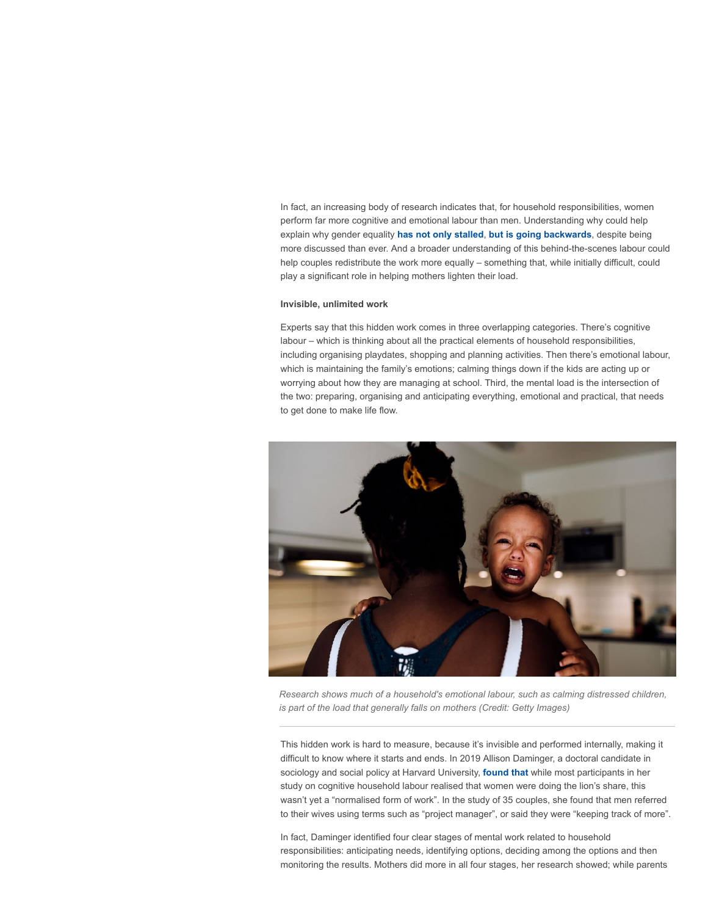In fact, an increasing body of research indicates that, for household responsibilities, women perform far more cognitive and emotional labour than men. Understanding why could help explain why gender equality **[has not only stalled](https://www.pnas.org/content/117/13/6990)**, **[but is going backwards](https://www.theguardian.com/world/2021/mar/08/half-of-women-in-uk-fear-equality-is-going-back-to-1970s-survey)**, despite being more discussed than ever. And a broader understanding of this behind-the-scenes labour could help couples redistribute the work more equally – something that, while initially difficult, could play a significant role in helping mothers lighten their load.

# **Invisible, unlimited work**

Experts say that this hidden work comes in three overlapping categories. There's cognitive labour – which is thinking about all the practical elements of household responsibilities, including organising playdates, shopping and planning activities. Then there's emotional labour, which is maintaining the family's emotions; calming things down if the kids are acting up or worrying about how they are managing at school. Third, the mental load is the intersection of the two: preparing, organising and anticipating everything, emotional and practical, that needs to get done to make life flow.



*Research shows much of a household's emotional labour, such as calming distressed children, is part of the load that generally falls on mothers (Credit: Getty Images)*

This hidden work is hard to measure, because it's invisible and performed internally, making it difficult to know where it starts and ends. In 2019 Allison Daminger, a doctoral candidate in sociology and social policy at Harvard University, **[found that](https://journals.sagepub.com/doi/abs/10.1177/0003122419859007?journalCode=asra)** while most participants in her study on cognitive household labour realised that women were doing the lion's share, this wasn't yet a "normalised form of work". In the study of 35 couples, she found that men referred to their wives using terms such as "project manager", or said they were "keeping track of more".

In fact, Daminger identified four clear stages of mental work related to household responsibilities: anticipating needs, identifying options, deciding among the options and then monitoring the results. Mothers did more in all four stages, her research showed; while parents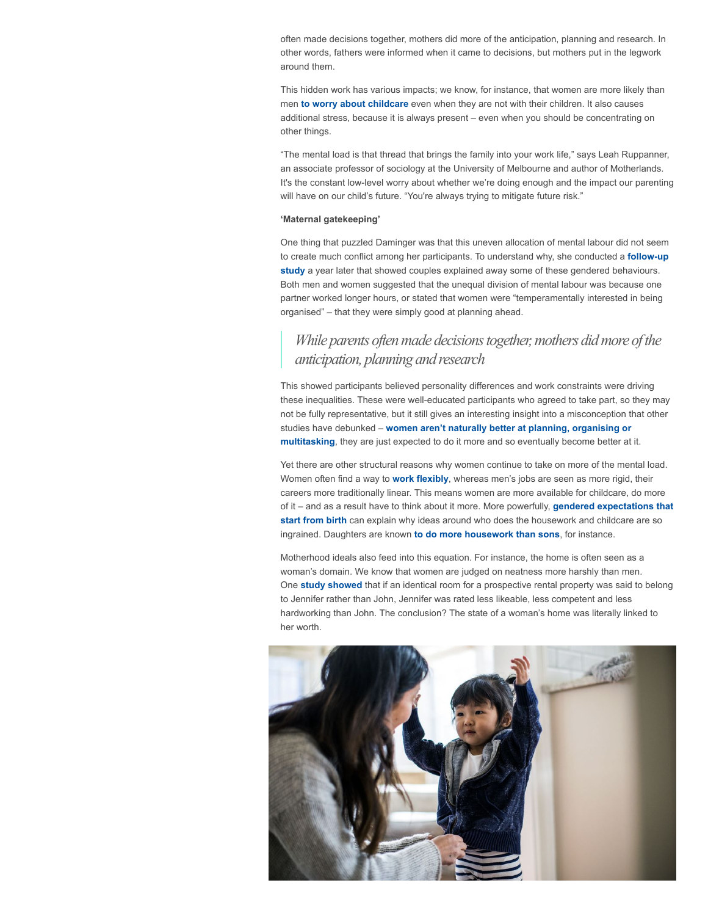often made decisions together, mothers did more of the anticipation, planning and research. In other words, fathers were informed when it came to decisions, but mothers put in the legwork around them.

This hidden work has various impacts; we know, for instance, that women are more likely than men **[to worry about childcare](https://academic.oup.com/socpro/article-abstract/43/2/219/1605125)** even when they are not with their children. It also causes additional stress, because it is always present – even when you should be concentrating on other things.

"The mental load is that thread that brings the family into your work life," says Leah Ruppanner, an associate professor of sociology at the University of Melbourne and author of Motherlands. It's the constant low-level worry about whether we're doing enough and the impact our parenting will have on our child's future. "You're always trying to mitigate future risk."

#### **'Maternal gatekeeping'**

One thing that puzzled Daminger was that this uneven allocation of mental labour did not seem [to create much conflict among her participants. To understand why, she conducted a](https://journals.sagepub.com/doi/abs/10.1177/0003122420950208) **follow-up study** a year later that showed couples explained away some of these gendered behaviours. Both men and women suggested that the unequal division of mental labour was because one partner worked longer hours, or stated that women were "temperamentally interested in being organised" – that they were simply good at planning ahead.

# *While* parents often made *decisions* together, mothers did more of the *anticipation,planningandresearch*

This showed participants believed personality differences and work constraints were driving these inequalities. These were well-educated participants who agreed to take part, so they may not be fully representative, but it still gives an interesting insight into a misconception that other studies have debunked – **women aren't naturally better at planning, organising or multitasking**[, they are just expected to do it more and so eventually become better at](https://theconversation.com/women-arent-better-multitaskers-than-men-theyre-just-doing-more-work-121620) it.

Yet there are other structural reasons why women continue to take on more of the mental load. Women often find a way to **[work flexibly](https://theconversation.com/flexible-work-arrangements-help-women-but-only-if-they-are-also-offered-to-men-155882)**, whereas men's jobs are seen as more rigid, their careers more traditionally linear. This means women are more available for childcare, do more of it – and as a result have to think about it more. More powerfully, **gendered expectations that start from birth** [can explain why ideas around who does the housework and childcare are so](https://www.bbc.com/future/article/20190930-the-sexist-myths-about-gender-stereotypes-that-wont-die) ingrained. Daughters are known **[to do more housework than sons](https://www.nytimes.com/2018/08/08/upshot/chores-girls-research-social-science.html)**, for instance.

Motherhood ideals also feed into this equation. For instance, the home is often seen as a woman's domain. We know that women are judged on neatness more harshly than men. One **[study showed](https://journals.sagepub.com/doi/full/10.1177/0049124119852395)** that if an identical room for a prospective rental property was said to belong to Jennifer rather than John, Jennifer was rated less likeable, less competent and less hardworking than John. The conclusion? The state of a woman's home was literally linked to her worth.

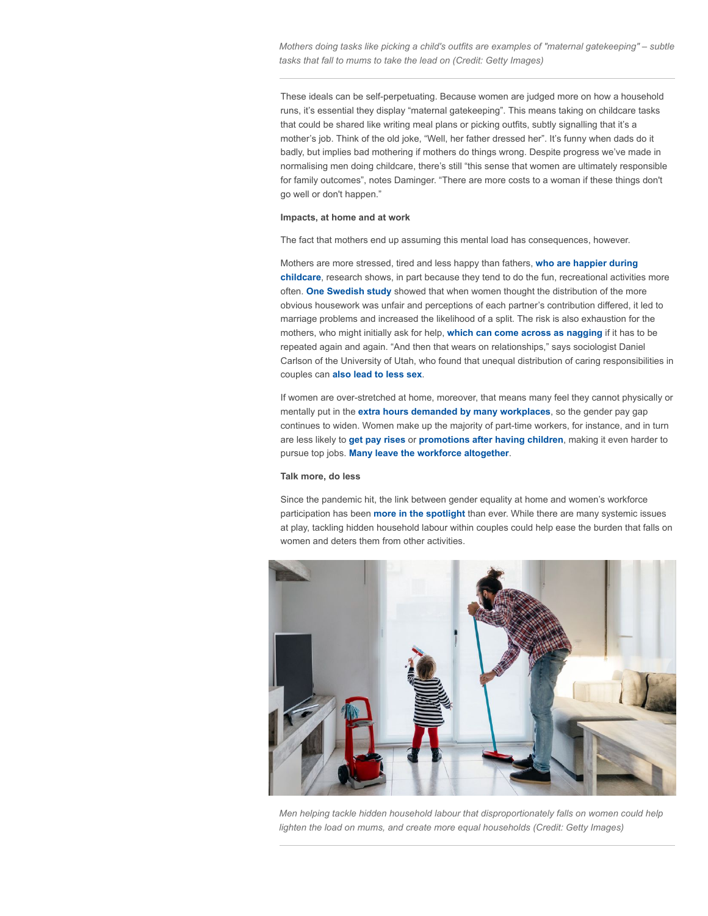*Mothers doing tasks like picking a child's outfits are examples of "maternal gatekeeping" – subtle tasks that fall to mums to take the lead on (Credit: Getty Images)*

These ideals can be self-perpetuating. Because women are judged more on how a household runs, it's essential they display "maternal gatekeeping". This means taking on childcare tasks that could be shared like writing meal plans or picking outfits, subtly signalling that it's a mother's job. Think of the old joke, "Well, her father dressed her". It's funny when dads do it badly, but implies bad mothering if mothers do things wrong. Despite progress we've made in normalising men doing childcare, there's still "this sense that women are ultimately responsible for family outcomes", notes Daminger. "There are more costs to a woman if these things don't go well or don't happen."

# **Impacts, at home and at work**

The fact that mothers end up assuming this mental load has consequences, however.

Mothers are more stressed, tired and less happy than fathers, **who are happier during childcare**[, research shows, in part because they tend to do the fun, recreational activitie](https://journals.sagepub.com/doi/10.1177/0192513X19860179?)s more often. **[One Swedish study](https://journals.sagepub.com/doi/full/10.1177/0038038516674664)** showed that when women thought the distribution of the more obvious housework was unfair and perceptions of each partner's contribution differed, it led to marriage problems and increased the likelihood of a split. The risk is also exhaustion for the mothers, who might initially ask for help, **[which can come across as nagging](https://www.harpersbazaar.com/culture/features/a12063822/emotional-labor-gender-equality/)** if it has to be repeated again and again. "And then that wears on relationships," says sociologist Daniel Carlson of the University of Utah, who found that unequal distribution of caring responsibilities in couples can **[also lead to less sex](https://journals.sagepub.com/doi/abs/10.1177/0192513X15604343?journalCode=jfia)**.

If women are over-stretched at home, moreover, that means many feel they cannot physically or mentally put in the **[extra hours demanded by many workplaces](https://www.bbc.com/worklife/article/20210507-why-we-glorify-the-cult-of-burnout-and-overwork)**, so the gender pay gap continues to widen. Women make up the majority of part-time workers, for instance, and in turn are less likely to **[get pay rises](https://www.theguardian.com/society/2018/feb/05/mothers-working-part-time-hit-hard-by-gender-pay-gap-study-shows)** or **[promotions after having children](https://www.independent.co.uk/life-style/women/women-work-career-promotion-childbirth-new-mothers-fathers-a9165926.html)**, making it even harder to pursue top jobs. **[Many leave the workforce altogether](https://time.com/nextadvisor/in-the-news/women-in-the-workplace/)**.

# **Talk more, do less**

Since the pandemic hit, the link between gender equality at home and women's workforce participation has been **[more in the spotlight](https://www.bbc.com/worklife/article/20201021-why-this-recession-disproportionately-affects-women)** than ever. While there are many systemic issues at play, tackling hidden household labour within couples could help ease the burden that falls on women and deters them from other activities.



*Men helping tackle hidden household labour that disproportionately falls on women could help lighten the load on mums, and create more equal households (Credit: Getty Images)*